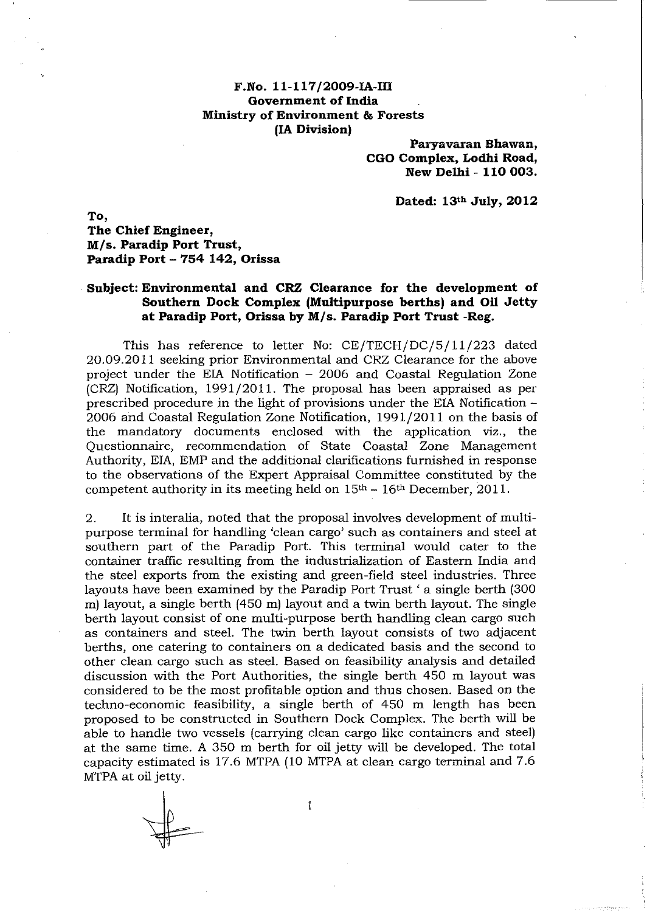## **F.No. 11-117/2009-IA-III Government of India Ministry of Environment & Forests (IA Division)**

**Paryavaran Shawan, CGO Complex, Lodhi Road, New Delhi - 110 003.** 

**Dated: 13th July, 2012** 

**To, The Chief Engineer, MIs. Paradip Port Trust, Paradip Port - 754 142, Orissa** 

## . **Subject: Environmental and CRZ Clearance for the development of Southern Dock Complex (Multipurpose berths) and Oil Jetty at Paradip Port, Orissa by MIs. Paradip Port Trust -Reg.**

This has reference to letter No: CE/TECH/DC/5/11/223 dated 20.09.2011 seeking prior Environmental and CRZ Clearance for the above project under the EIA Notification - 2006 and Coastal Regulation Zone (CRZ) Notification, 1991/2011. The proposal has been appraised as per prescribed procedure in the light of provisions under the EIA Notification-2006 and Coastal Regulation Zone Notification, 1991/2011 on the basis of the mandatory documents enclosed with the application viz., the Questionnaire, recommendation of State Coastal Zone Management Authority, EIA, EMP and the additional clarifications furnished in response to the observations of the Expert Appraisal Committee constituted by the competent authority in its meeting held on  $15<sup>th</sup> - 16<sup>th</sup>$  December, 2011.

2. It is interalia, noted that the proposal involves development of multipurpose terminal for handling 'clean cargo' such as containers and steel at southern part of the Paradip Port. This terminal would cater to the container traffic resulting from the industrialization of Eastern India and the steel exports from the existing and green-field steel industries. Three layouts have been examined by the Paradip Port Trust' a single berth (300 m) layout, a single berth (450 m) layout and a twin berth layout. The single berth layout consist of one multi-purpose berth handling clean cargo such as containers and steel. The twin berth layout consists of two adjacent berths, one catering to containers on a dedicated basis and the second to other clean cargo such as steel. Based on feasibility analysis and detailed discussion with the Port Authorities, the single berth 450 m layout was considered to be the most profitable option and thus chosen. Based on the techno-economic feasibility, a single berth of 450 m length has been proposed to be constructed in Southern Dock Complex. The berth will be able to handle two vessels (carrying clean cargo like containers and steel) at the same time. A 350 m berth for oil jetty will be developed. The total capacity estimated is 17.6 MTPA (10 MTPA at clean cargo terminal and 7.6 MTPA at oil jetty.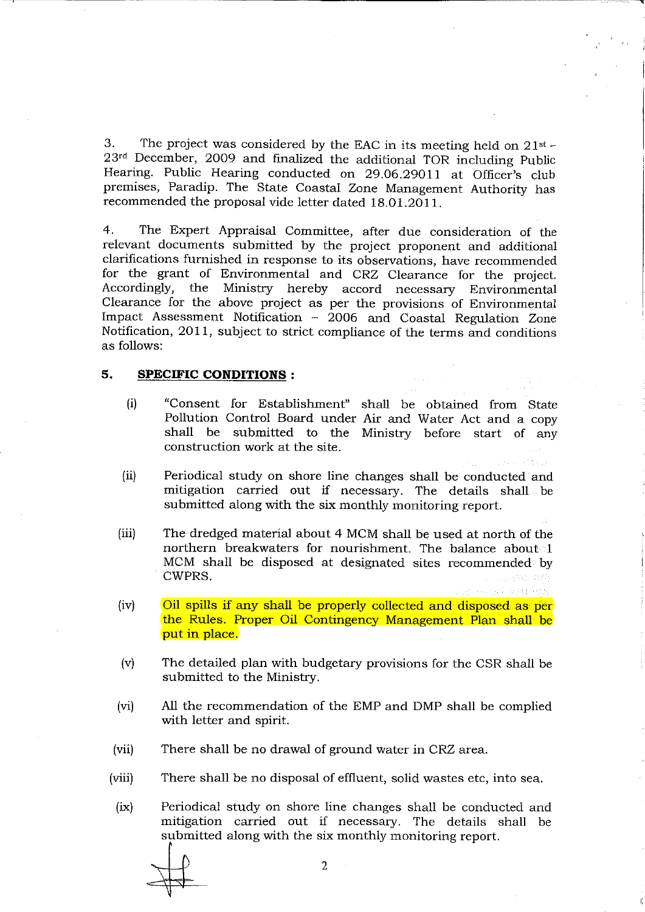3. The project was considered by the EAC in its meeting held on 21st - 23rd December, 2009 and finalized the additional TOR including Public Hearing. Public Hearing conducted on 29.06.29011 at Officer's club premises, Paradip. The State Coastal Zone Management Authority has recommended the proposal vide letter dated 18.01.2011.

•

4. The Expert Appraisal Committee, after due consideration of the relevant documents submitted by the project proponent and additional clarifications furnished in response to its observations, have recommended for the grant of Environmental and CRZ Clearance for the project. Ministry hereby accord necessary Environmental Clearance for the above project as per the provisions of Environmental Impact Assessment Notification - 2006 and Coastal Regulation Zone Notification, 2011, subject to strict compliance of the terms and conditions as follows:

## **5. SPECIFIC CONDITIONS:**

- (i) "Consent for Establishment" shall be obtained from State Pollution Control Board under Air and Water Act and a copy shall be submitted to the Ministry before start of any construction work at the site.
- (ii) Periodical study on shore line changes shall be conducted and mitigation carried out if necessary. The details shall be submitted along with the six monthly monitoring report.
- (iii) The dredged material about 4 MCM shall be used at north of the northern breakwaters for nourishment. The balance about 1 MCM shall be disposed at designated sites recommended by CWPRS. n dia
- $(iv)$  Oil spills if any shall be properly collected and disposed as per the Rules. Proper Oil Contingency Management Plan shall be put in place.
- (v) The detailed plan with budgetary provisions for the CSR shall be submitted to the Ministry.
- (vi) All the recommendation of the EMP and DMP shall be complied with letter and spirit.
- (vii) There shall be no drawal of ground water in CRZ area.
- (viii) There shall be no disposal of effluent, solid wastes etc, into sea.
- (ix) Periodical study on shore line changes shall be conducted and mitigation carried out if necessary. The details shall be Periodical study on shore line changes shall be condu<br>"mitigation carried" out if necessary. The details<br>"submitted along with the six monthly monitoring report.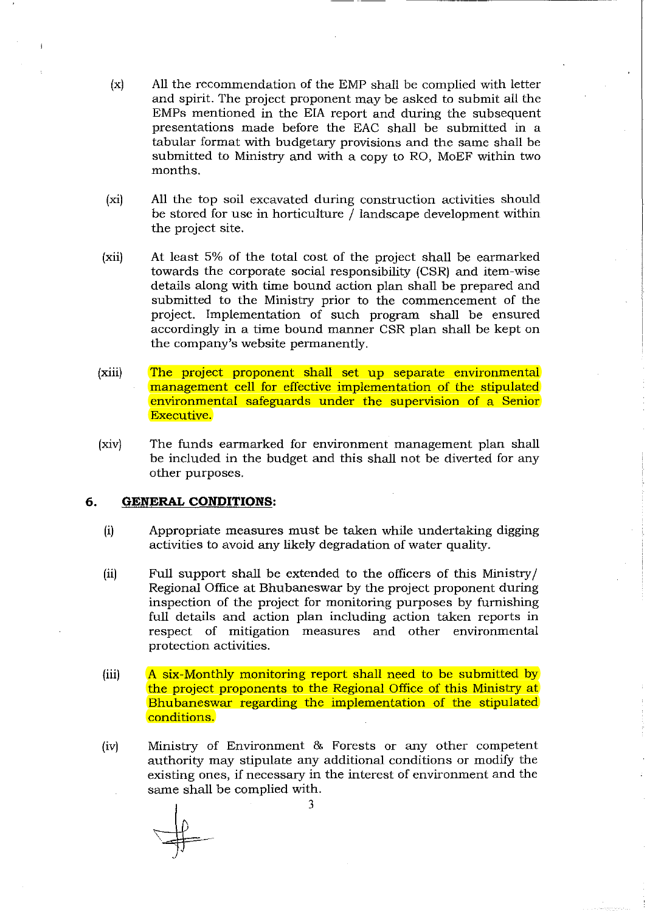- (x) All the recommendation of the EMP shall be complied with letter and spirit. The project proponent may be asked to submit all the EMPs mentioned in the EIA report and during the subsequent presentations made before the EAC shall be submitted in a tabular format with budgetary provisions and the same shall be submitted to Ministry and with a copy to RO, MoEF within two months.
- (xi) All the top soil excavated during construction activities should be stored for use in horticulture / landscape development within the project site.
- (xii) At least 5% of the total cost of the project shall be earmarked towards the corporate social responsibility (CSR) and item-wise details along with time bound action plan shall be prepared and submitted to the Ministry prior to the commencement of the project. Implementation of such program shall be ensured accordingly in a time bound manner CSR plan shall be kept on the company's website permanently.
- (xiii) The project proponent shall set up separate environmental management cell for effective implementation of the stipulated environmental safeguards under the supervision of a Senior Executive.
- (xiv) The funds earmarked for environment management plan shall be included in the budget and this shall not be diverted for any other purposes.

## **6. GENERAL CONDITIONS:**

- (i) Appropriate measures must be taken while undertaking digging activities to avoid any likely degradation of water quality.
- (ii) Full support shall be extended to the officers of this Ministry / Regional Office at Bhubaneswar by the project proponent during inspection of the project for monitoring purposes by furnishing full details and action plan including action taken reports in respect of mitigation measures and other environmental protection activities.
- (iii) A six-Monthly monitoring report shall need to be submitted by the project proponents to the Regional Office of this Ministry at Bhubaneswar regarding the implementation of the stipulated conditions.
- (iv) Ministry of Environment & Forests or any other competent authority may stipulate any additional conditions or modify the existing ones, if necessary in the interest of environment and the same shall be complied with.

3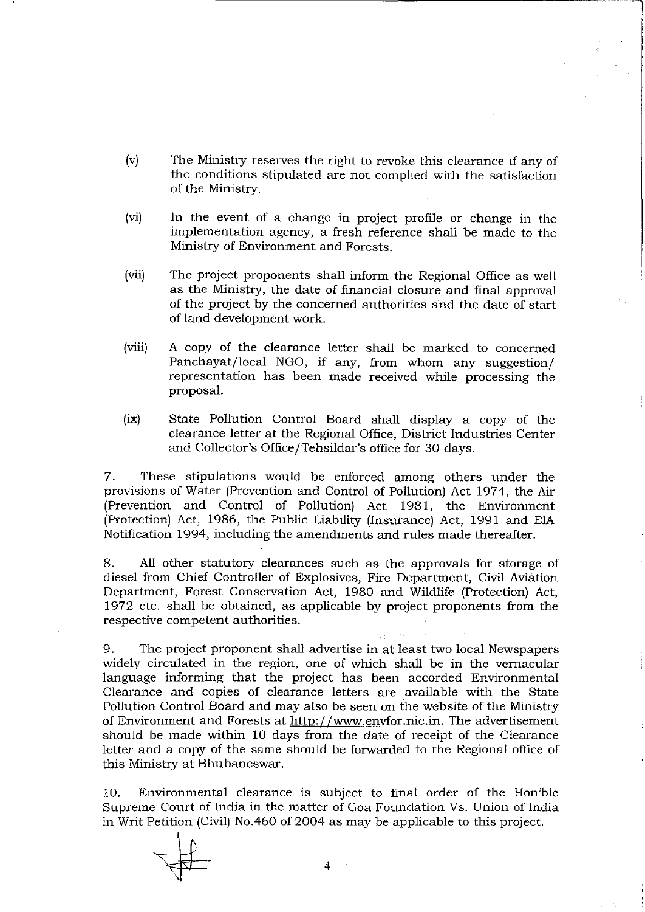- (v) The Ministry reserves the right to revoke this clearance if any of the conditions stipUlated are not complied with the satisfaction of the Ministry.
- (vi) In the event of a change in project profile or change in the implementation agency, a fresh reference shall be made to the Ministry of Environment and Forests.
- (vii) The project proponents shall inform the Regional Office as well as the Ministry, the date of financial closure and final approval of the project by the concerned authorities and the date of start of land development work.
- (viii) A copy of the clearance letter shall be marked to concerned Panchayat/local NGO, if any, from whom any suggestion/ representation has been made received while processing the proposal.
- (ix) State Pollution Control Board shall display a copy of the clearance letter at the Regional Office, District Industries Center and Collector's Office/Tehsildar's office for 30 days.

7. These stipulations would be enforced among others under the provisions of Water (Prevention and Control of Pollution) Act 1974, the Air (Prevention and Control of Pollution) Act 1981, the Environment (Protection) Act, 1986, the Public Liability (Insurance) Act, 1991 and EIA Notification 1994, including the amendments and rules made thereafter.

8. All other statutory clearances such as the approvals for storage of diesel from Chief Controller of Explosives, Fire Department, Civil Aviation Department, Forest Conservation Act, 1980 and Wildlife (Protection) Act, 1972 etc. shall be obtained, as applicable by project proponents from the respective competent authorities.

9. The project proponent shall advertise in at least two local Newspapers widely circulated in the region, one of which shall be in the vernacular language informing that the project has been accorded Environmental Clearance and copies of clearance letters are available with the State Pollution Control Board and may also be seen on the website of the Ministry of Environment and Forests at http://www.envfor.nic.in. The advertisement should be made within 10 days from the date of receipt of the Clearance letter and a copy of the same should be forwarded to the Regional office of this Ministry at Bhubaneswar.

10. Environmental clearance is subject to final order of the Hon'ble Supreme Court of India in the matter of Goa Foundation Vs. Union of India in Writ Petition (Civil) No.460 of 2004 as may be applicable to this project.